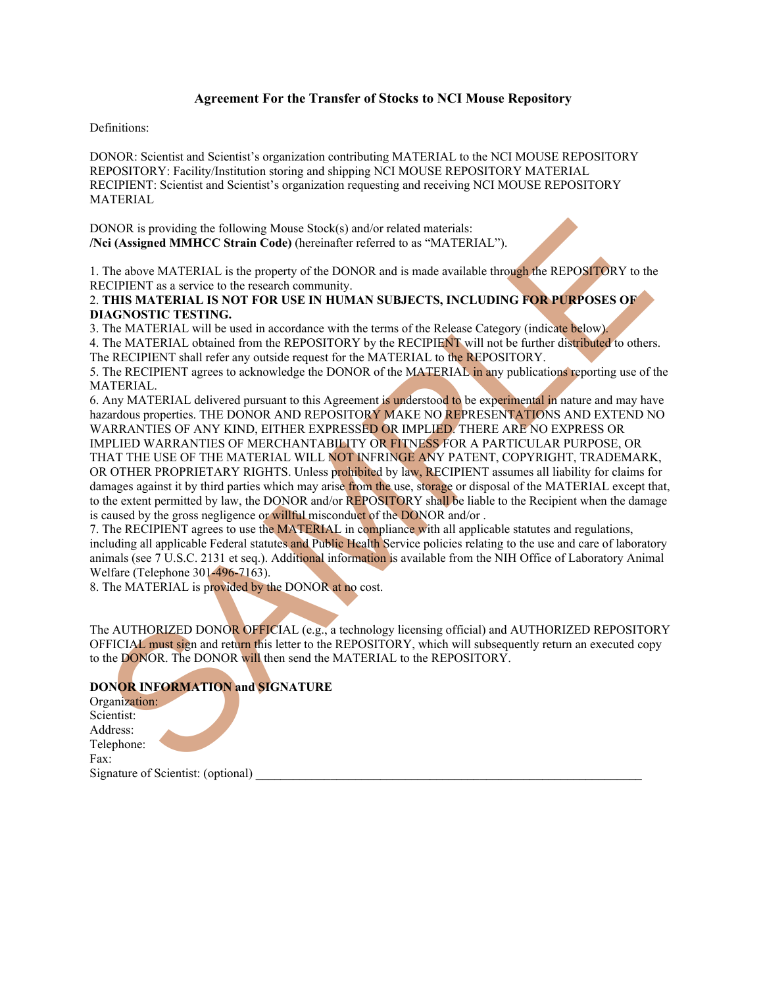## **Agreement For the Transfer of Stocks to NCI Mouse Repository**

#### Definitions:

DONOR: Scientist and Scientist's organization contributing MATERIAL to the NCI MOUSE REPOSITORY REPOSITORY: Facility/Institution storing and shipping NCI MOUSE REPOSITORY MATERIAL RECIPIENT: Scientist and Scientist's organization requesting and receiving NCI MOUSE REPOSITORY MATERIAL

DONOR is providing the following Mouse Stock(s) and/or related materials: **/Nci (Assigned MMHCC Strain Code)** (hereinafter referred to as "MATERIAL").

1. The above MATERIAL is the property of the DONOR and is made available through the REPOSITORY to the RECIPIENT as a service to the research community.

#### 2. **THIS MATERIAL IS NOT FOR USE IN HUMAN SUBJECTS, INCLUDING FOR PURPOSES OF DIAGNOSTIC TESTING.**

3. The MATERIAL will be used in accordance with the terms of the Release Category (indicate below). 4. The MATERIAL obtained from the REPOSITORY by the RECIPIENT will not be further distributed to others.

The RECIPIENT shall refer any outside request for the MATERIAL to the REPOSITORY.

5. The RECIPIENT agrees to acknowledge the DONOR of the MATERIAL in any publications reporting use of the MATERIAL.

ONOR is providing the following Motate Stock(s) and/or related matrials;<br>
ed (Assigned MMHICC Strain Code) (thereinder referred to as "MATERIALI").<br>
The above MATERIAL is the property of the DONOR and is made available thr 6. Any MATERIAL delivered pursuant to this Agreement is understood to be experimental in nature and may have hazardous properties. THE DONOR AND REPOSITORY MAKE NO REPRESENTATIONS AND EXTEND NO WARRANTIES OF ANY KIND, EITHER EXPRESSED OR IMPLIED. THERE ARE NO EXPRESS OR IMPLIED WARRANTIES OF MERCHANTABILITY OR FITNESS FOR A PARTICULAR PURPOSE, OR THAT THE USE OF THE MATERIAL WILL NOT INFRINGE ANY PATENT, COPYRIGHT, TRADEMARK, OR OTHER PROPRIETARY RIGHTS. Unless prohibited by law, RECIPIENT assumes all liability for claims for damages against it by third parties which may arise from the use, storage or disposal of the MATERIAL except that, to the extent permitted by law, the DONOR and/or REPOSITORY shall be liable to the Recipient when the damage is caused by the gross negligence or willful misconduct of the DONOR and/or .

7. The RECIPIENT agrees to use the MATERIAL in compliance with all applicable statutes and regulations, including all applicable Federal statutes and Public Health Service policies relating to the use and care of laboratory animals (see 7 U.S.C. 2131 et seq.). Additional information is available from the NIH Office of Laboratory Animal Welfare (Telephone 301-496-7163).

8. The MATERIAL is provided by the DONOR at no cost.

The AUTHORIZED DONOR OFFICIAL (e.g., a technology licensing official) and AUTHORIZED REPOSITORY OFFICIAL must sign and return this letter to the REPOSITORY, which will subsequently return an executed copy to the DONOR. The DONOR will then send the MATERIAL to the REPOSITORY.

## **DONOR INFORMATION and SIGNATURE**

Organization: Scientist: Address: Telephone: Fax: Signature of Scientist: (optional)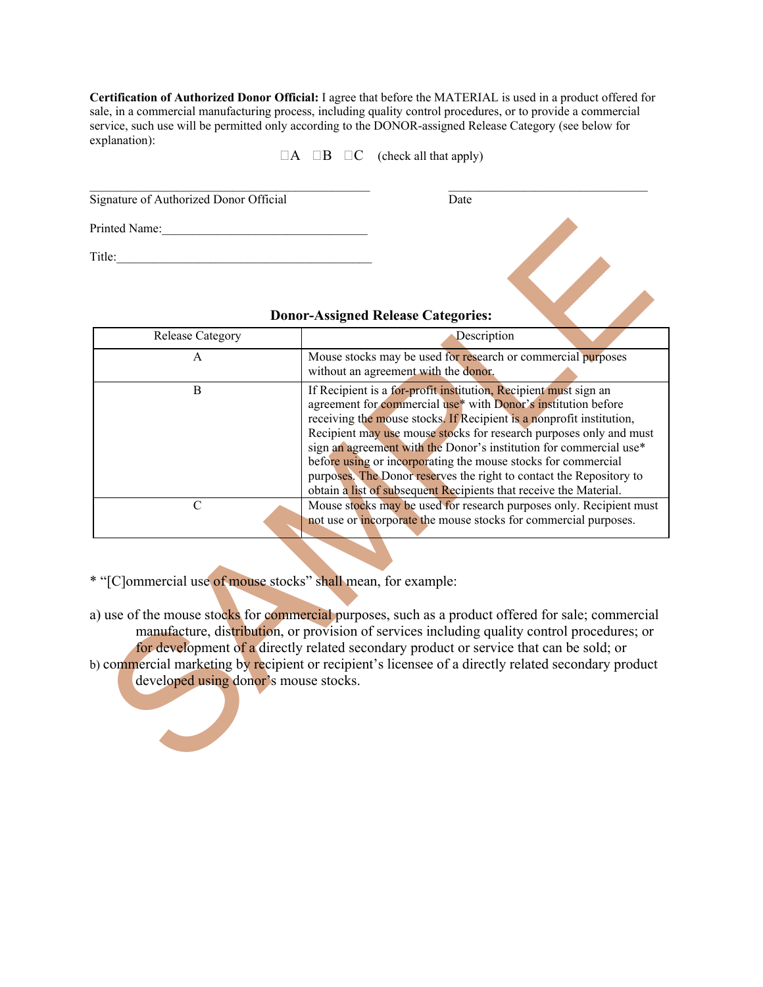**Certification of Authorized Donor Official:** I agree that before the MATERIAL is used in a product offered for sale, in a commercial manufacturing process, including quality control procedures, or to provide a commercial service, such use will be permitted only according to the DONOR-assigned Release Category (see below for explanation):

 $\Box A$   $\Box B$   $\Box C$  (check all that apply)

 $\mathcal{L}_\text{max}$  , and the contribution of the contribution of the contribution of the contribution of the contribution of the contribution of the contribution of the contribution of the contribution of the contribution of t Signature of Authorized Donor Official Date

| Printed Name:                                                                                                                                                                                                                                                                                                                                                                                                                                                                                                 |                                                                                                                                                                                                                                                                                                                                                                                                                                                                                                                                                                    |
|---------------------------------------------------------------------------------------------------------------------------------------------------------------------------------------------------------------------------------------------------------------------------------------------------------------------------------------------------------------------------------------------------------------------------------------------------------------------------------------------------------------|--------------------------------------------------------------------------------------------------------------------------------------------------------------------------------------------------------------------------------------------------------------------------------------------------------------------------------------------------------------------------------------------------------------------------------------------------------------------------------------------------------------------------------------------------------------------|
| Γitle:                                                                                                                                                                                                                                                                                                                                                                                                                                                                                                        |                                                                                                                                                                                                                                                                                                                                                                                                                                                                                                                                                                    |
| <b>Donor-Assigned Release Categories:</b>                                                                                                                                                                                                                                                                                                                                                                                                                                                                     |                                                                                                                                                                                                                                                                                                                                                                                                                                                                                                                                                                    |
| Release Category                                                                                                                                                                                                                                                                                                                                                                                                                                                                                              | Description                                                                                                                                                                                                                                                                                                                                                                                                                                                                                                                                                        |
| A                                                                                                                                                                                                                                                                                                                                                                                                                                                                                                             | Mouse stocks may be used for research or commercial purposes<br>without an agreement with the donor.                                                                                                                                                                                                                                                                                                                                                                                                                                                               |
| $\, {\bf B}$                                                                                                                                                                                                                                                                                                                                                                                                                                                                                                  | If Recipient is a for-profit institution, Recipient must sign an<br>agreement for commercial use* with Donor's institution before<br>receiving the mouse stocks. If Recipient is a nonprofit institution,<br>Recipient may use mouse stocks for research purposes only and must<br>sign an agreement with the Donor's institution for commercial use*<br>before using or incorporating the mouse stocks for commercial<br>purposes. The Donor reserves the right to contact the Repository to<br>obtain a list of subsequent Recipients that receive the Material. |
| $\mathcal{C}$                                                                                                                                                                                                                                                                                                                                                                                                                                                                                                 | Mouse stocks may be used for research purposes only. Recipient must<br>not use or incorporate the mouse stocks for commercial purposes.                                                                                                                                                                                                                                                                                                                                                                                                                            |
| "[C]ommercial use of mouse stocks" shall mean, for example:<br>a) use of the mouse stocks for commercial purposes, such as a product offered for sale; commercial<br>manufacture, distribution, or provision of services including quality control procedures; or<br>for development of a directly related secondary product or service that can be sold; or<br>b) commercial marketing by recipient or recipient's licensee of a directly related secondary product<br>developed using donor's mouse stocks. |                                                                                                                                                                                                                                                                                                                                                                                                                                                                                                                                                                    |